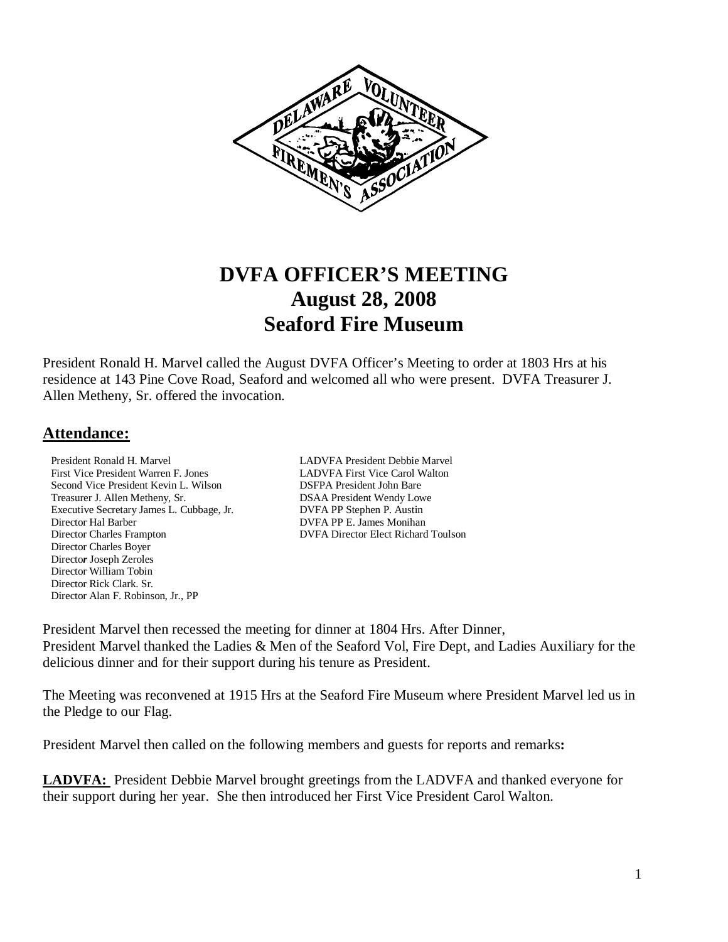

# **DVFA OFFICER'S MEETING August 28, 2008 Seaford Fire Museum**

President Ronald H. Marvel called the August DVFA Officer's Meeting to order at 1803 Hrs at his residence at 143 Pine Cove Road, Seaford and welcomed all who were present. DVFA Treasurer J. Allen Metheny, Sr. offered the invocation.

### **Attendance:**

President Ronald H. MarvelLADVFA President Debbie Marvel First Vice President Warren F. Jones LADVFA First Vice Carol Walton Second Vice President Kevin L. Wilson DSFPA President John Bare Treasurer J. Allen Metheny, Sr. **DSAA President Wendy Lowe**<br>Executive Secretary James L. Cubbage, Jr. **DVFA PP Stephen P. Austin** Executive Secretary James L. Cubbage, Jr.<br>Director Hal Barber Director Charles Frampton DVFA Director Elect Richard Toulson Director Charles Boyer Directo*r* Joseph ZerolesDirector William Tobin Director Rick Clark. Sr. Director Alan F. Robinson, Jr., PP

DVFA PP E. James Monihan

President Marvel then recessed the meeting for dinner at 1804 Hrs. After Dinner, President Marvel thanked the Ladies & Men of the Seaford Vol, Fire Dept, and Ladies Auxiliary for the delicious dinner and for their support during his tenure as President.

The Meeting was reconvened at 1915 Hrs at the Seaford Fire Museum where President Marvel led us in the Pledge to our Flag.

President Marvel then called on the following members and guests for reports and remarks**:** 

LADVFA: President Debbie Marvel brought greetings from the LADVFA and thanked everyone for their support during her year. She then introduced her First Vice President Carol Walton.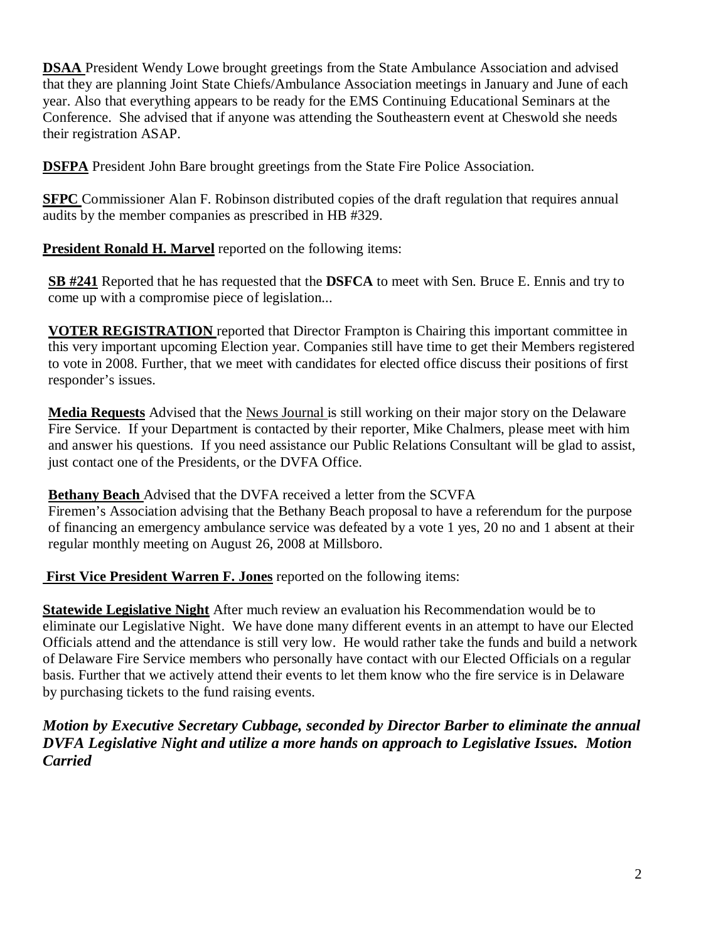**DSAA** President Wendy Lowe brought greetings from the State Ambulance Association and advised that they are planning Joint State Chiefs/Ambulance Association meetings in January and June of each year. Also that everything appears to be ready for the EMS Continuing Educational Seminars at the Conference. She advised that if anyone was attending the Southeastern event at Cheswold she needs their registration ASAP.

**DSFPA** President John Bare brought greetings from the State Fire Police Association.

**SFPC** Commissioner Alan F. Robinson distributed copies of the draft regulation that requires annual audits by the member companies as prescribed in HB #329.

**President Ronald H. Marvel** reported on the following items:

**SB #241** Reported that he has requested that the **DSFCA** to meet with Sen. Bruce E. Ennis and try to come up with a compromise piece of legislation...

**VOTER REGISTRATION** reported that Director Frampton is Chairing this important committee in this very important upcoming Election year. Companies still have time to get their Members registered to vote in 2008. Further, that we meet with candidates for elected office discuss their positions of first responder's issues.

**Media Requests** Advised that the News Journal is still working on their major story on the Delaware Fire Service. If your Department is contacted by their reporter, Mike Chalmers, please meet with him and answer his questions. If you need assistance our Public Relations Consultant will be glad to assist, just contact one of the Presidents, or the DVFA Office.

**Bethany Beach** Advised that the DVFA received a letter from the SCVFA

Firemen's Association advising that the Bethany Beach proposal to have a referendum for the purpose of financing an emergency ambulance service was defeated by a vote 1 yes, 20 no and 1 absent at their regular monthly meeting on August 26, 2008 at Millsboro.

 **First Vice President Warren F. Jones** reported on the following items:

**Statewide Legislative Night** After much review an evaluation his Recommendation would be to eliminate our Legislative Night. We have done many different events in an attempt to have our Elected Officials attend and the attendance is still very low. He would rather take the funds and build a network of Delaware Fire Service members who personally have contact with our Elected Officials on a regular basis. Further that we actively attend their events to let them know who the fire service is in Delaware by purchasing tickets to the fund raising events.

*Motion by Executive Secretary Cubbage, seconded by Director Barber to eliminate the annual DVFA Legislative Night and utilize a more hands on approach to Legislative Issues. Motion Carried*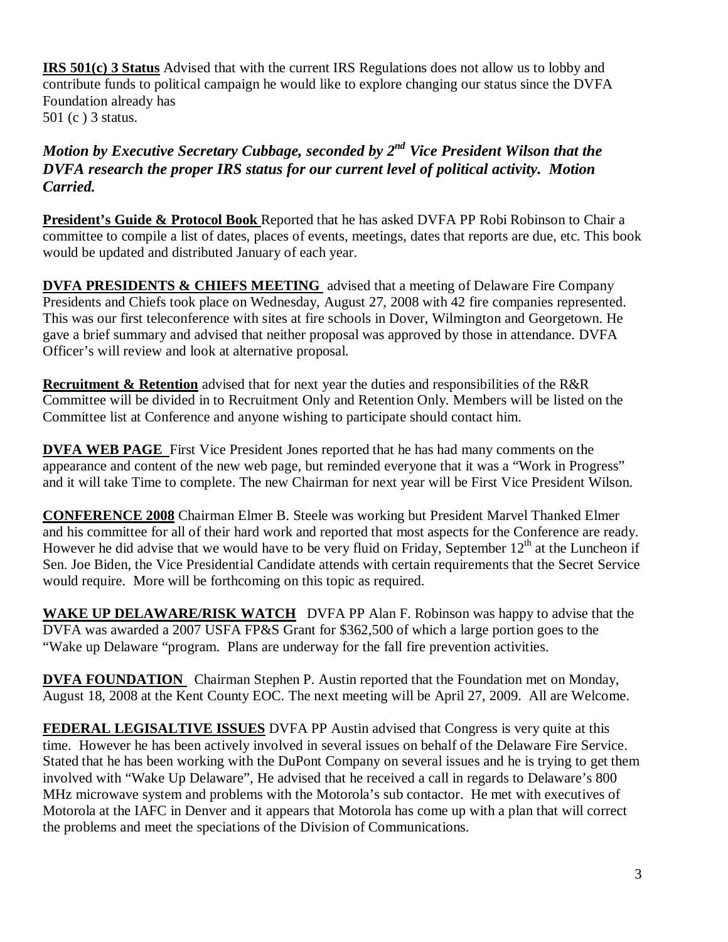**IRS 501(c) 3 Status** Advised that with the current IRS Regulations does not allow us to lobby and contribute funds to political campaign he would like to explore changing our status since the DVFA Foundation already has 501 (c ) 3 status.

# Motion by Executive Secretary Cubbage, seconded by 2<sup>nd</sup> Vice President Wilson that the *DVFA research the proper IRS status for our current level of political activity. Motion Carried.*

**President's Guide & Protocol Book** Reported that he has asked DVFA PP Robi Robinson to Chair a committee to compile a list of dates, places of events, meetings, dates that reports are due, etc. This book would be updated and distributed January of each year.

**DVFA PRESIDENTS & CHIEFS MEETING** advised that a meeting of Delaware Fire Company Presidents and Chiefs took place on Wednesday, August 27, 2008 with 42 fire companies represented. This was our first teleconference with sites at fire schools in Dover, Wilmington and Georgetown. He gave a brief summary and advised that neither proposal was approved by those in attendance. DVFA Officer's will review and look at alternative proposal.

**Recruitment & Retention** advised that for next year the duties and responsibilities of the R&R Committee will be divided in to Recruitment Only and Retention Only. Members will be listed on the Committee list at Conference and anyone wishing to participate should contact him.

**DVFA WEB PAGE** First Vice President Jones reported that he has had many comments on the appearance and content of the new web page, but reminded everyone that it was a "Work in Progress" and it will take Time to complete. The new Chairman for next year will be First Vice President Wilson.

**CONFERENCE 2008** Chairman Elmer B. Steele was working but President Marvel Thanked Elmer and his committee for all of their hard work and reported that most aspects for the Conference are ready. However he did advise that we would have to be very fluid on Friday, September  $12<sup>th</sup>$  at the Luncheon if Sen. Joe Biden, the Vice Presidential Candidate attends with certain requirements that the Secret Service would require. More will be forthcoming on this topic as required.

**WAKE UP DELAWARE/RISK WATCH** DVFA PP Alan F. Robinson was happy to advise that the DVFA was awarded a 2007 USFA FP&S Grant for \$362,500 of which a large portion goes to the "Wake up Delaware "program. Plans are underway for the fall fire prevention activities.

**DVFA FOUNDATION** Chairman Stephen P. Austin reported that the Foundation met on Monday, August 18, 2008 at the Kent County EOC. The next meeting will be April 27, 2009. All are Welcome.

**FEDERAL LEGISALTIVE ISSUES** DVFA PP Austin advised that Congress is very quite at this time. However he has been actively involved in several issues on behalf of the Delaware Fire Service. Stated that he has been working with the DuPont Company on several issues and he is trying to get them involved with "Wake Up Delaware", He advised that he received a call in regards to Delaware's 800 MHz microwave system and problems with the Motorola's sub contactor. He met with executives of Motorola at the IAFC in Denver and it appears that Motorola has come up with a plan that will correct the problems and meet the speciations of the Division of Communications.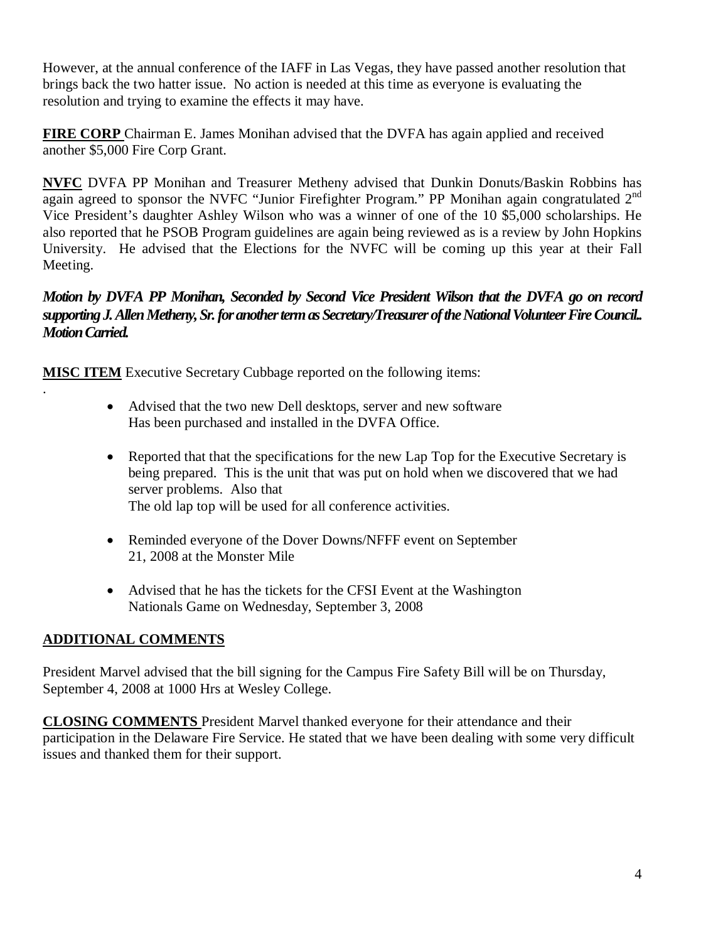However, at the annual conference of the IAFF in Las Vegas, they have passed another resolution that brings back the two hatter issue. No action is needed at this time as everyone is evaluating the resolution and trying to examine the effects it may have.

**FIRE CORP** Chairman E. James Monihan advised that the DVFA has again applied and received another \$5,000 Fire Corp Grant.

**NVFC** DVFA PP Monihan and Treasurer Metheny advised that Dunkin Donuts/Baskin Robbins has again agreed to sponsor the NVFC "Junior Firefighter Program." PP Monihan again congratulated 2<sup>nd</sup> Vice President's daughter Ashley Wilson who was a winner of one of the 10 \$5,000 scholarships. He also reported that he PSOB Program guidelines are again being reviewed as is a review by John Hopkins University. He advised that the Elections for the NVFC will be coming up this year at their Fall Meeting.

*Motion by DVFA PP Monihan, Seconded by Second Vice President Wilson that the DVFA go on record supporting J. Allen Metheny, Sr. for another term as Secretary/Treasurer of the National Volunteer Fire Council.. Motion Carried.* 

**MISC ITEM** Executive Secretary Cubbage reported on the following items:

- Advised that the two new Dell desktops, server and new software Has been purchased and installed in the DVFA Office.
- Reported that that the specifications for the new Lap Top for the Executive Secretary is being prepared. This is the unit that was put on hold when we discovered that we had server problems. Also that The old lap top will be used for all conference activities.
- Reminded everyone of the Dover Downs/NFFF event on September 21, 2008 at the Monster Mile
- Advised that he has the tickets for the CFSI Event at the Washington Nationals Game on Wednesday, September 3, 2008

# **ADDITIONAL COMMENTS**

.

President Marvel advised that the bill signing for the Campus Fire Safety Bill will be on Thursday, September 4, 2008 at 1000 Hrs at Wesley College.

**CLOSING COMMENTS** President Marvel thanked everyone for their attendance and their participation in the Delaware Fire Service. He stated that we have been dealing with some very difficult issues and thanked them for their support.